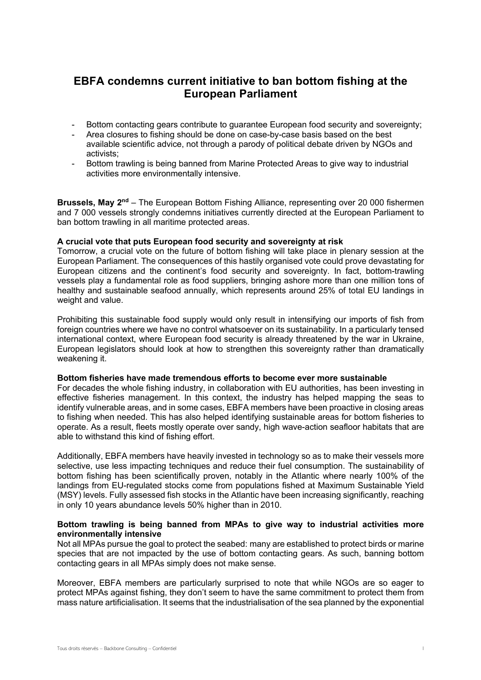# **EBFA condemns current initiative to ban bottom fishing at the European Parliament**

- Bottom contacting gears contribute to guarantee European food security and sovereignty;
- Area closures to fishing should be done on case-by-case basis based on the best available scientific advice, not through a parody of political debate driven by NGOs and activists;
- Bottom trawling is being banned from Marine Protected Areas to give way to industrial activities more environmentally intensive.

**Brussels, May 2<sup>nd</sup>** – The European Bottom Fishing Alliance, representing over 20 000 fishermen and 7 000 vessels strongly condemns initiatives currently directed at the European Parliament to ban bottom trawling in all maritime protected areas.

## **A crucial vote that puts European food security and sovereignty at risk**

Tomorrow, a crucial vote on the future of bottom fishing will take place in plenary session at the European Parliament. The consequences of this hastily organised vote could prove devastating for European citizens and the continent's food security and sovereignty. In fact, bottom-trawling vessels play a fundamental role as food suppliers, bringing ashore more than one million tons of healthy and sustainable seafood annually, which represents around 25% of total EU landings in weight and value.

Prohibiting this sustainable food supply would only result in intensifying our imports of fish from foreign countries where we have no control whatsoever on its sustainability. In a particularly tensed international context, where European food security is already threatened by the war in Ukraine, European legislators should look at how to strengthen this sovereignty rather than dramatically weakening it.

#### **Bottom fisheries have made tremendous efforts to become ever more sustainable**

For decades the whole fishing industry, in collaboration with EU authorities, has been investing in effective fisheries management. In this context, the industry has helped mapping the seas to identify vulnerable areas, and in some cases, EBFA members have been proactive in closing areas to fishing when needed. This has also helped identifying sustainable areas for bottom fisheries to operate. As a result, fleets mostly operate over sandy, high wave-action seafloor habitats that are able to withstand this kind of fishing effort.

Additionally, EBFA members have heavily invested in technology so as to make their vessels more selective, use less impacting techniques and reduce their fuel consumption. The sustainability of bottom fishing has been scientifically proven, notably in the Atlantic where nearly 100% of the landings from EU-regulated stocks come from populations fished at Maximum Sustainable Yield (MSY) levels. Fully assessed fish stocks in the Atlantic have been increasing significantly, reaching in only 10 years abundance levels 50% higher than in 2010.

## **Bottom trawling is being banned from MPAs to give way to industrial activities more environmentally intensive**

Not all MPAs pursue the goal to protect the seabed: many are established to protect birds or marine species that are not impacted by the use of bottom contacting gears. As such, banning bottom contacting gears in all MPAs simply does not make sense.

Moreover, EBFA members are particularly surprised to note that while NGOs are so eager to protect MPAs against fishing, they don't seem to have the same commitment to protect them from mass nature artificialisation. It seems that the industrialisation of the sea planned by the exponential